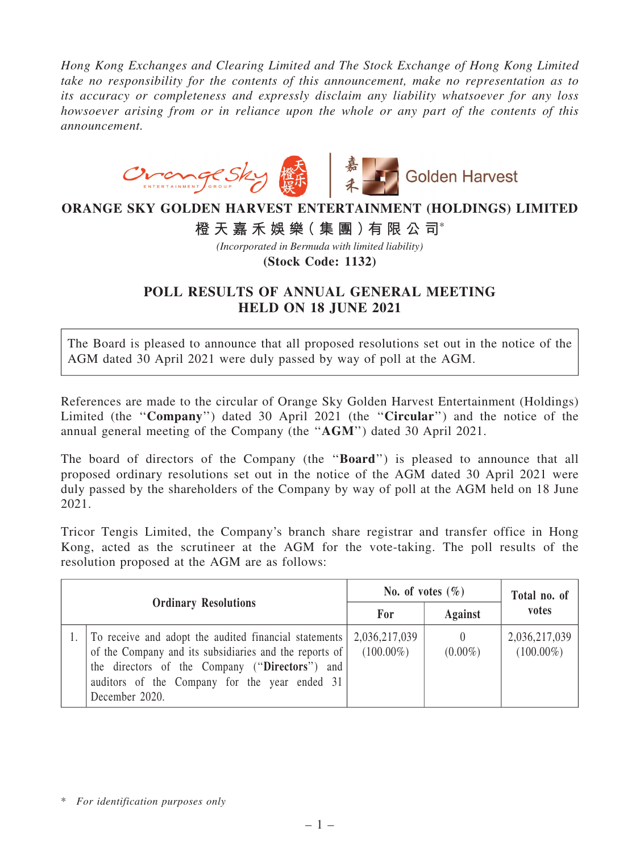*Hong Kong Exchanges and Clearing Limited and The Stock Exchange of Hong Kong Limited take no responsibility for the contents of this announcement, make no representation as to its accuracy or completeness and expressly disclaim any liability whatsoever for any loss howsoever arising from or in reliance upon the whole or any part of the contents of this announcement.*



## **ORANGE SKY GOLDEN HARVEST ENTERTAINMENT (HOLDINGS) LIMITED**

**橙 天 嘉 禾 娛 樂( 集 團 )有 限 公 司**\*

*(Incorporated in Bermuda with limited liability)*

**(Stock Code: 1132)**

## POLL RESULTS OF ANNUAL GENERAL MEETING HELD ON 18 JUNE 2021

The Board is pleased to announce that all proposed resolutions set out in the notice of the AGM dated 30 April 2021 were duly passed by way of poll at the AGM.

References are made to the circular of Orange Sky Golden Harvest Entertainment (Holdings) Limited (the "Company") dated 30 April 2021 (the "Circular") and the notice of the annual general meeting of the Company (the ''AGM'') dated 30 April 2021.

The board of directors of the Company (the "Board") is pleased to announce that all proposed ordinary resolutions set out in the notice of the AGM dated 30 April 2021 were duly passed by the shareholders of the Company by way of poll at the AGM held on 18 June 2021.

Tricor Tengis Limited, the Company's branch share registrar and transfer office in Hong Kong, acted as the scrutineer at the AGM for the vote-taking. The poll results of the resolution proposed at the AGM are as follows:

| <b>Ordinary Resolutions</b> |                                                                                                                                                                                                                                      | No. of votes $(\% )$          |                | Total no. of                  |
|-----------------------------|--------------------------------------------------------------------------------------------------------------------------------------------------------------------------------------------------------------------------------------|-------------------------------|----------------|-------------------------------|
|                             |                                                                                                                                                                                                                                      | For                           | <b>Against</b> | votes                         |
|                             | To receive and adopt the audited financial statements<br>of the Company and its subsidiaries and the reports of<br>the directors of the Company ("Directors") and<br>auditors of the Company for the year ended 31<br>December 2020. | 2,036,217,039<br>$(100.00\%)$ | $(0.00\%)$     | 2,036,217,039<br>$(100.00\%)$ |

<sup>\*</sup> *For identification purposes only*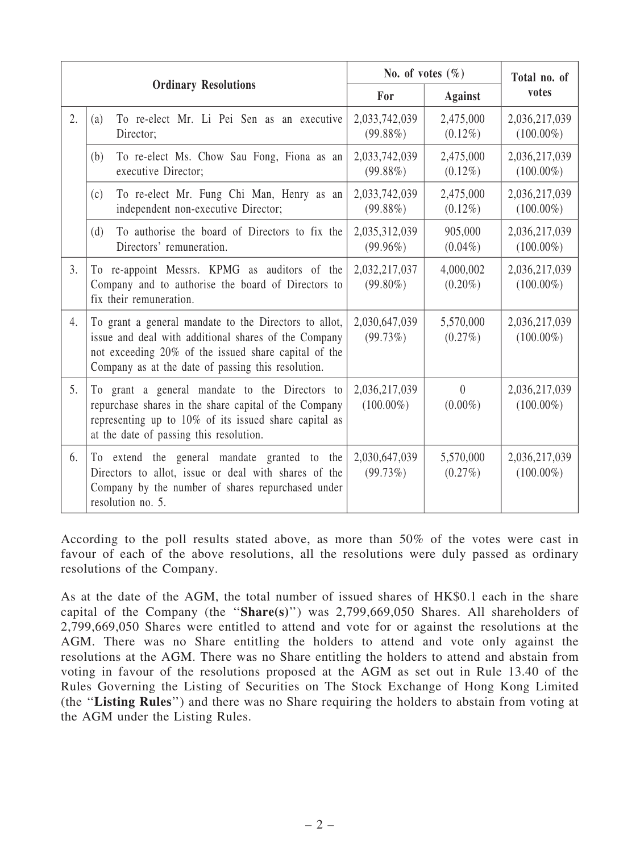|                             |                                                                                                                                                                                                                             | No. of votes $(\% )$          |                         | Total no. of<br>votes         |
|-----------------------------|-----------------------------------------------------------------------------------------------------------------------------------------------------------------------------------------------------------------------------|-------------------------------|-------------------------|-------------------------------|
| <b>Ordinary Resolutions</b> |                                                                                                                                                                                                                             | For                           | <b>Against</b>          |                               |
| 2.                          | To re-elect Mr. Li Pei Sen as an executive<br>(a)<br>Director;                                                                                                                                                              | 2,033,742,039<br>$(99.88\%)$  | 2,475,000<br>$(0.12\%)$ | 2,036,217,039<br>$(100.00\%)$ |
|                             | To re-elect Ms. Chow Sau Fong, Fiona as an<br>(b)<br>executive Director;                                                                                                                                                    | 2,033,742,039<br>$(99.88\%)$  | 2,475,000<br>$(0.12\%)$ | 2,036,217,039<br>$(100.00\%)$ |
|                             | To re-elect Mr. Fung Chi Man, Henry as an<br>(c)<br>independent non-executive Director;                                                                                                                                     | 2,033,742,039<br>$(99.88\%)$  | 2,475,000<br>$(0.12\%)$ | 2,036,217,039<br>$(100.00\%)$ |
|                             | To authorise the board of Directors to fix the<br>(d)<br>Directors' remuneration.                                                                                                                                           | 2,035,312,039<br>$(99.96\%)$  | 905,000<br>$(0.04\%)$   | 2,036,217,039<br>$(100.00\%)$ |
| 3.                          | To re-appoint Messrs. KPMG as auditors of the<br>Company and to authorise the board of Directors to<br>fix their remuneration.                                                                                              | 2,032,217,037<br>$(99.80\%)$  | 4,000,002<br>$(0.20\%)$ | 2,036,217,039<br>$(100.00\%)$ |
| 4.                          | To grant a general mandate to the Directors to allot,<br>issue and deal with additional shares of the Company<br>not exceeding 20% of the issued share capital of the<br>Company as at the date of passing this resolution. | 2,030,647,039<br>(99.73%)     | 5,570,000<br>$(0.27\%)$ | 2,036,217,039<br>$(100.00\%)$ |
| 5.                          | To grant a general mandate to the Directors to<br>repurchase shares in the share capital of the Company<br>representing up to 10% of its issued share capital as<br>at the date of passing this resolution.                 | 2,036,217,039<br>$(100.00\%)$ | $\theta$<br>$(0.00\%)$  | 2,036,217,039<br>$(100.00\%)$ |
| 6.                          | To extend the general mandate granted to the<br>Directors to allot, issue or deal with shares of the<br>Company by the number of shares repurchased under<br>resolution no. 5.                                              | 2,030,647,039<br>(99.73%)     | 5,570,000<br>$(0.27\%)$ | 2,036,217,039<br>$(100.00\%)$ |

According to the poll results stated above, as more than 50% of the votes were cast in favour of each of the above resolutions, all the resolutions were duly passed as ordinary resolutions of the Company.

As at the date of the AGM, the total number of issued shares of HK\$0.1 each in the share capital of the Company (the " $Share(s)$ ") was 2,799,669,050 Shares. All shareholders of 2,799,669,050 Shares were entitled to attend and vote for or against the resolutions at the AGM. There was no Share entitling the holders to attend and vote only against the resolutions at the AGM. There was no Share entitling the holders to attend and abstain from voting in favour of the resolutions proposed at the AGM as set out in Rule 13.40 of the Rules Governing the Listing of Securities on The Stock Exchange of Hong Kong Limited (the ''Listing Rules'') and there was no Share requiring the holders to abstain from voting at the AGM under the Listing Rules.